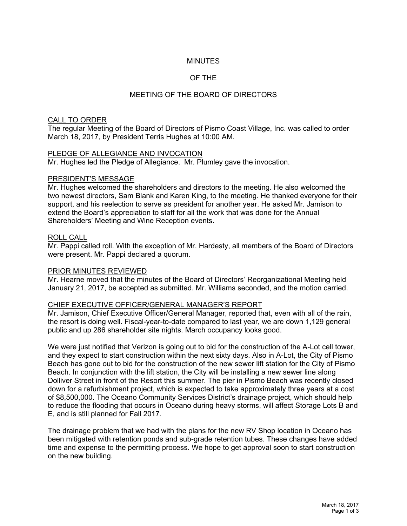## **MINUTES**

## OF THE

## MEETING OF THE BOARD OF DIRECTORS

#### CALL TO ORDER

The regular Meeting of the Board of Directors of Pismo Coast Village, Inc. was called to order March 18, 2017, by President Terris Hughes at 10:00 AM.

#### PLEDGE OF ALLEGIANCE AND INVOCATION

Mr. Hughes led the Pledge of Allegiance. Mr. Plumley gave the invocation.

#### PRESIDENT'S MESSAGE

Mr. Hughes welcomed the shareholders and directors to the meeting. He also welcomed the two newest directors, Sam Blank and Karen King, to the meeting. He thanked everyone for their support, and his reelection to serve as president for another year. He asked Mr. Jamison to extend the Board's appreciation to staff for all the work that was done for the Annual Shareholders' Meeting and Wine Reception events.

#### ROLL CALL

Mr. Pappi called roll. With the exception of Mr. Hardesty, all members of the Board of Directors were present. Mr. Pappi declared a quorum.

#### PRIOR MINUTES REVIEWED

Mr. Hearne moved that the minutes of the Board of Directors' Reorganizational Meeting held January 21, 2017, be accepted as submitted. Mr. Williams seconded, and the motion carried.

#### CHIEF EXECUTIVE OFFICER/GENERAL MANAGER'S REPORT

Mr. Jamison, Chief Executive Officer/General Manager, reported that, even with all of the rain, the resort is doing well. Fiscal-year-to-date compared to last year, we are down 1,129 general public and up 286 shareholder site nights. March occupancy looks good.

We were just notified that Verizon is going out to bid for the construction of the A-Lot cell tower, and they expect to start construction within the next sixty days. Also in A-Lot, the City of Pismo Beach has gone out to bid for the construction of the new sewer lift station for the City of Pismo Beach. In conjunction with the lift station, the City will be installing a new sewer line along Dolliver Street in front of the Resort this summer. The pier in Pismo Beach was recently closed down for a refurbishment project, which is expected to take approximately three years at a cost of \$8,500,000. The Oceano Community Services District's drainage project, which should help to reduce the flooding that occurs in Oceano during heavy storms, will affect Storage Lots B and E, and is still planned for Fall 2017.

The drainage problem that we had with the plans for the new RV Shop location in Oceano has been mitigated with retention ponds and sub-grade retention tubes. These changes have added time and expense to the permitting process. We hope to get approval soon to start construction on the new building.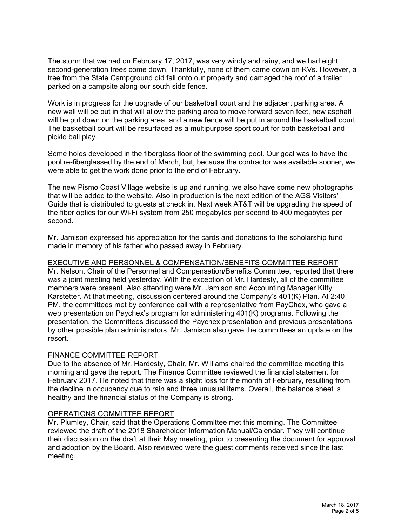The storm that we had on February 17, 2017, was very windy and rainy, and we had eight second-generation trees come down. Thankfully, none of them came down on RVs. However, a tree from the State Campground did fall onto our property and damaged the roof of a trailer parked on a campsite along our south side fence.

Work is in progress for the upgrade of our basketball court and the adjacent parking area. A new wall will be put in that will allow the parking area to move forward seven feet, new asphalt will be put down on the parking area, and a new fence will be put in around the basketball court. The basketball court will be resurfaced as a multipurpose sport court for both basketball and pickle ball play.

Some holes developed in the fiberglass floor of the swimming pool. Our goal was to have the pool re-fiberglassed by the end of March, but, because the contractor was available sooner, we were able to get the work done prior to the end of February.

The new Pismo Coast Village website is up and running, we also have some new photographs that will be added to the website. Also in production is the next edition of the AGS Visitors' Guide that is distributed to guests at check in. Next week AT&T will be upgrading the speed of the fiber optics for our Wi-Fi system from 250 megabytes per second to 400 megabytes per second.

Mr. Jamison expressed his appreciation for the cards and donations to the scholarship fund made in memory of his father who passed away in February.

## EXECUTIVE AND PERSONNEL & COMPENSATION/BENEFITS COMMITTEE REPORT

Mr. Nelson, Chair of the Personnel and Compensation/Benefits Committee, reported that there was a joint meeting held yesterday. With the exception of Mr. Hardesty, all of the committee members were present. Also attending were Mr. Jamison and Accounting Manager Kitty Karstetter. At that meeting, discussion centered around the Company's 401(K) Plan. At 2:40 PM, the committees met by conference call with a representative from PayChex, who gave a web presentation on Paychex's program for administering 401(K) programs. Following the presentation, the Committees discussed the Paychex presentation and previous presentations by other possible plan administrators. Mr. Jamison also gave the committees an update on the resort.

### FINANCE COMMITTEE REPORT

Due to the absence of Mr. Hardesty, Chair, Mr. Williams chaired the committee meeting this morning and gave the report. The Finance Committee reviewed the financial statement for February 2017. He noted that there was a slight loss for the month of February, resulting from the decline in occupancy due to rain and three unusual items. Overall, the balance sheet is healthy and the financial status of the Company is strong.

### OPERATIONS COMMITTEE REPORT

Mr. Plumley, Chair, said that the Operations Committee met this morning. The Committee reviewed the draft of the 2018 Shareholder Information Manual/Calendar. They will continue their discussion on the draft at their May meeting, prior to presenting the document for approval and adoption by the Board. Also reviewed were the guest comments received since the last meeting.